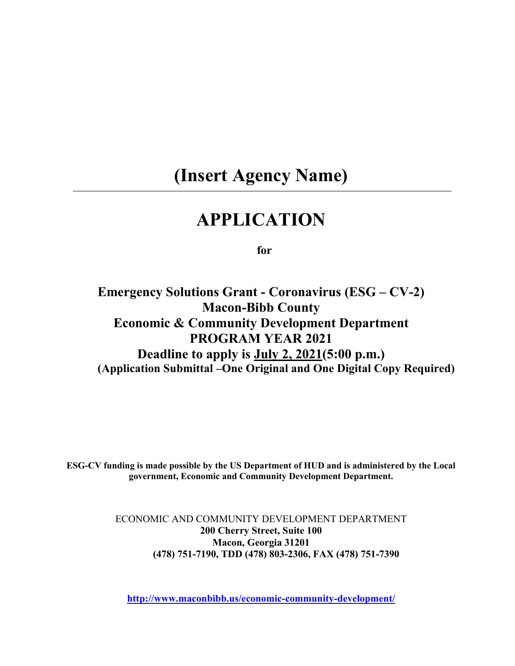# **(Insert Agency Name)**

# **APPLICATION**

**for**

**Emergency Solutions Grant - Coronavirus (ESG – CV-2) Macon-Bibb County Economic & Community Development Department PROGRAM YEAR 2021 Deadline to apply is July 2, 2021(5:00 p.m.) (Application Submittal –One Original and One Digital Copy Required)**

**ESG-CV funding is made possible by the US Department of HUD and is administered by the Local government, Economic and Community Development Department.**

> ECONOMIC AND COMMUNITY DEVELOPMENT DEPARTMENT **200 Cherry Street, Suite 100 Macon, Georgia 31201 (478) 751-7190, TDD (478) 803-2306, FAX (478) 751-7390**

**[http://www.maconbibb.us/economic-community-development/](http://www.cityofmacon.net/citydept-ecd-neighborhoods)**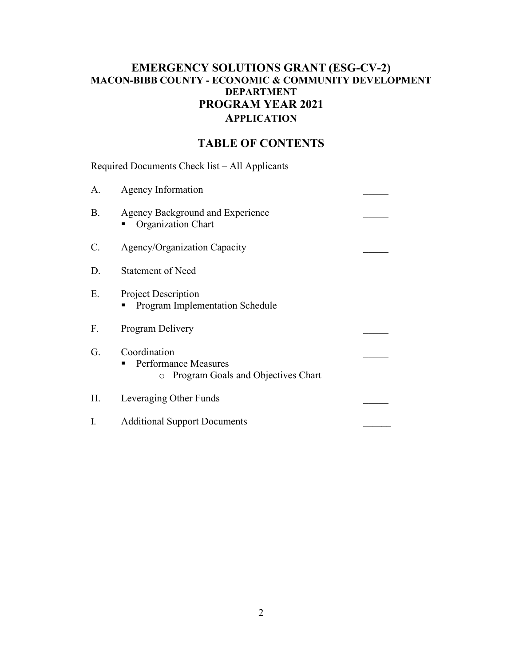# **EMERGENCY SOLUTIONS GRANT (ESG-CV-2) MACON-BIBB COUNTY - ECONOMIC & COMMUNITY DEVELOPMENT DEPARTMENT PROGRAM YEAR 2021 APPLICATION**

# **TABLE OF CONTENTS**

Required Documents Check list – All Applicants

| A.              | Agency Information                                                                       |  |
|-----------------|------------------------------------------------------------------------------------------|--|
| <b>B.</b>       | Agency Background and Experience<br>Organization Chart                                   |  |
| $\mathcal{C}$ . | Agency/Organization Capacity                                                             |  |
| D.              | <b>Statement of Need</b>                                                                 |  |
| Ε.              | <b>Project Description</b><br><b>Program Implementation Schedule</b>                     |  |
| F.              | Program Delivery                                                                         |  |
| G.              | Coordination<br><b>Performance Measures</b><br>п<br>o Program Goals and Objectives Chart |  |
| Н.              | Leveraging Other Funds                                                                   |  |
| I.              | <b>Additional Support Documents</b>                                                      |  |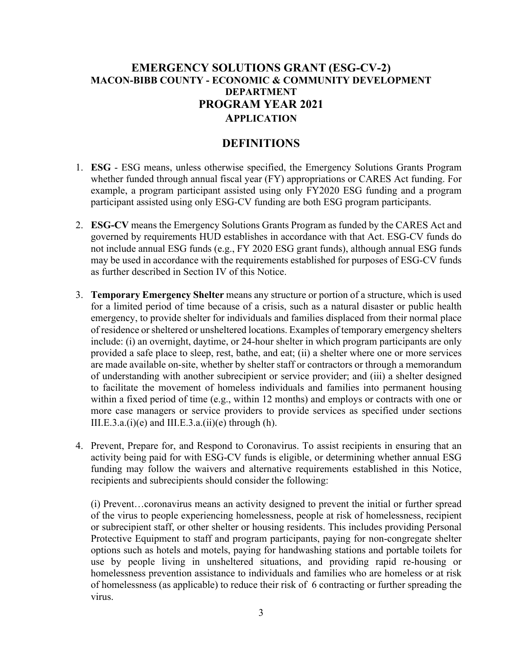## **EMERGENCY SOLUTIONS GRANT (ESG-CV-2) MACON-BIBB COUNTY - ECONOMIC & COMMUNITY DEVELOPMENT DEPARTMENT PROGRAM YEAR 2021 APPLICATION**

### **DEFINITIONS**

- 1. **ESG** ESG means, unless otherwise specified, the Emergency Solutions Grants Program whether funded through annual fiscal year (FY) appropriations or CARES Act funding. For example, a program participant assisted using only FY2020 ESG funding and a program participant assisted using only ESG-CV funding are both ESG program participants.
- 2. **ESG-CV** means the Emergency Solutions Grants Program as funded by the CARES Act and governed by requirements HUD establishes in accordance with that Act. ESG-CV funds do not include annual ESG funds (e.g., FY 2020 ESG grant funds), although annual ESG funds may be used in accordance with the requirements established for purposes of ESG-CV funds as further described in Section IV of this Notice.
- 3. **Temporary Emergency Shelter** means any structure or portion of a structure, which is used for a limited period of time because of a crisis, such as a natural disaster or public health emergency, to provide shelter for individuals and families displaced from their normal place of residence or sheltered or unsheltered locations. Examples of temporary emergency shelters include: (i) an overnight, daytime, or 24-hour shelter in which program participants are only provided a safe place to sleep, rest, bathe, and eat; (ii) a shelter where one or more services are made available on-site, whether by shelter staff or contractors or through a memorandum of understanding with another subrecipient or service provider; and (iii) a shelter designed to facilitate the movement of homeless individuals and families into permanent housing within a fixed period of time (e.g., within 12 months) and employs or contracts with one or more case managers or service providers to provide services as specified under sections III.E.3.a. $(i)(e)$  and III.E.3.a. $(ii)(e)$  through  $(h)$ .
- 4. Prevent, Prepare for, and Respond to Coronavirus. To assist recipients in ensuring that an activity being paid for with ESG-CV funds is eligible, or determining whether annual ESG funding may follow the waivers and alternative requirements established in this Notice, recipients and subrecipients should consider the following:

(i) Prevent…coronavirus means an activity designed to prevent the initial or further spread of the virus to people experiencing homelessness, people at risk of homelessness, recipient or subrecipient staff, or other shelter or housing residents. This includes providing Personal Protective Equipment to staff and program participants, paying for non-congregate shelter options such as hotels and motels, paying for handwashing stations and portable toilets for use by people living in unsheltered situations, and providing rapid re-housing or homelessness prevention assistance to individuals and families who are homeless or at risk of homelessness (as applicable) to reduce their risk of 6 contracting or further spreading the virus.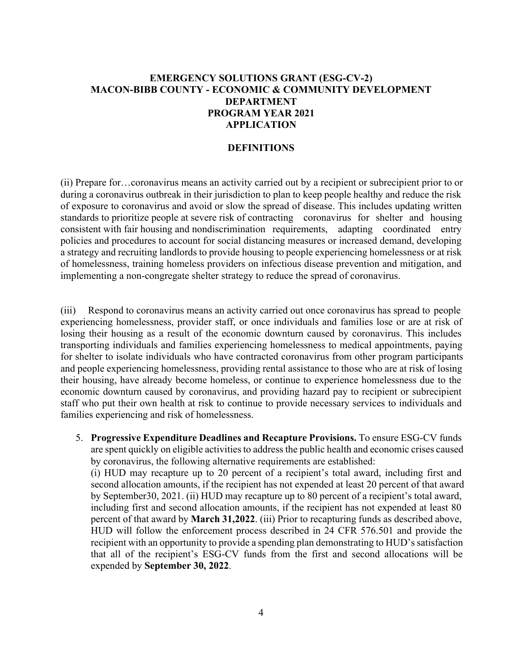## **EMERGENCY SOLUTIONS GRANT (ESG-CV-2) MACON-BIBB COUNTY - ECONOMIC & COMMUNITY DEVELOPMENT DEPARTMENT PROGRAM YEAR 2021 APPLICATION**

#### **DEFINITIONS**

(ii) Prepare for…coronavirus means an activity carried out by a recipient or subrecipient prior to or during a coronavirus outbreak in their jurisdiction to plan to keep people healthy and reduce the risk of exposure to coronavirus and avoid or slow the spread of disease. This includes updating written standards to prioritize people at severe risk of contracting coronavirus for shelter and housing consistent with fair housing and nondiscrimination requirements, adapting coordinated entry policies and procedures to account for social distancing measures or increased demand, developing a strategy and recruiting landlords to provide housing to people experiencing homelessness or at risk of homelessness, training homeless providers on infectious disease prevention and mitigation, and implementing a non-congregate shelter strategy to reduce the spread of coronavirus.

(iii) Respond to coronavirus means an activity carried out once coronavirus has spread to people experiencing homelessness, provider staff, or once individuals and families lose or are at risk of losing their housing as a result of the economic downturn caused by coronavirus. This includes transporting individuals and families experiencing homelessness to medical appointments, paying for shelter to isolate individuals who have contracted coronavirus from other program participants and people experiencing homelessness, providing rental assistance to those who are at risk of losing their housing, have already become homeless, or continue to experience homelessness due to the economic downturn caused by coronavirus, and providing hazard pay to recipient or subrecipient staff who put their own health at risk to continue to provide necessary services to individuals and families experiencing and risk of homelessness.

5. **Progressive Expenditure Deadlines and Recapture Provisions.** To ensure ESG-CV funds are spent quickly on eligible activities to address the public health and economic crises caused by coronavirus, the following alternative requirements are established:

(i) HUD may recapture up to 20 percent of a recipient's total award, including first and second allocation amounts, if the recipient has not expended at least 20 percent of that award by September30, 2021. (ii) HUD may recapture up to 80 percent of a recipient's total award, including first and second allocation amounts, if the recipient has not expended at least 80 percent of that award by **March 31,2022**. (iii) Prior to recapturing funds as described above, HUD will follow the enforcement process described in 24 CFR 576.501 and provide the recipient with an opportunity to provide a spending plan demonstrating to HUD's satisfaction that all of the recipient's ESG-CV funds from the first and second allocations will be expended by **September 30, 2022**.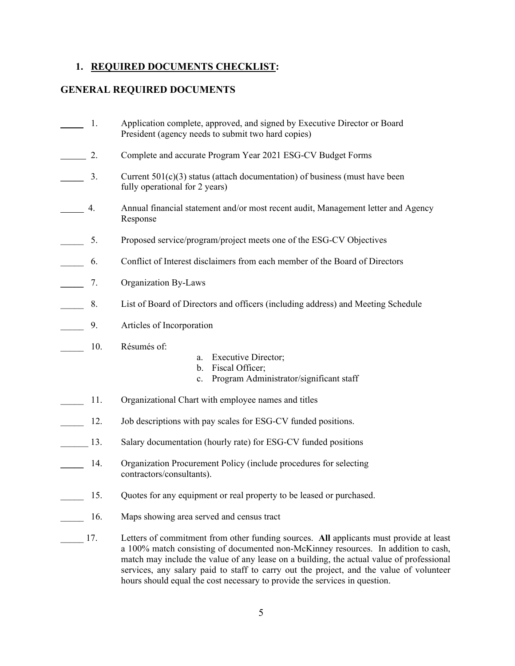### **1. REQUIRED DOCUMENTS CHECKLIST:**

## **GENERAL REQUIRED DOCUMENTS**

| 1.                               | Application complete, approved, and signed by Executive Director or Board<br>President (agency needs to submit two hard copies)                                                                                                                                          |  |  |  |  |
|----------------------------------|--------------------------------------------------------------------------------------------------------------------------------------------------------------------------------------------------------------------------------------------------------------------------|--|--|--|--|
| 2.                               | Complete and accurate Program Year 2021 ESG-CV Budget Forms                                                                                                                                                                                                              |  |  |  |  |
| 3.                               | Current $501(c)(3)$ status (attach documentation) of business (must have been<br>fully operational for 2 years)                                                                                                                                                          |  |  |  |  |
| 4.                               | Annual financial statement and/or most recent audit, Management letter and Agency<br>Response                                                                                                                                                                            |  |  |  |  |
| 5.                               | Proposed service/program/project meets one of the ESG-CV Objectives                                                                                                                                                                                                      |  |  |  |  |
| 6.                               | Conflict of Interest disclaimers from each member of the Board of Directors                                                                                                                                                                                              |  |  |  |  |
| 7.<br>$\mathcal{L}^{\text{max}}$ | Organization By-Laws                                                                                                                                                                                                                                                     |  |  |  |  |
| 8.                               | List of Board of Directors and officers (including address) and Meeting Schedule                                                                                                                                                                                         |  |  |  |  |
| 9.                               | Articles of Incorporation                                                                                                                                                                                                                                                |  |  |  |  |
| 10.                              | Résumés of:<br><b>Executive Director;</b><br>a.<br>Fiscal Officer;<br>b.<br>Program Administrator/significant staff<br>c.                                                                                                                                                |  |  |  |  |
| 11.                              | Organizational Chart with employee names and titles                                                                                                                                                                                                                      |  |  |  |  |
| 12.                              | Job descriptions with pay scales for ESG-CV funded positions.                                                                                                                                                                                                            |  |  |  |  |
| 13.                              | Salary documentation (hourly rate) for ESG-CV funded positions                                                                                                                                                                                                           |  |  |  |  |
| 14.                              | Organization Procurement Policy (include procedures for selecting<br>contractors/consultants).                                                                                                                                                                           |  |  |  |  |
| 15.                              | Quotes for any equipment or real property to be leased or purchased.                                                                                                                                                                                                     |  |  |  |  |
| 16.                              | Maps showing area served and census tract                                                                                                                                                                                                                                |  |  |  |  |
| 17.                              | Letters of commitment from other funding sources. All applicants must provide at least<br>a 100% match consisting of documented non-McKinney resources. In addition to cash,<br>match may include the value of any lease on a building, the actual value of professional |  |  |  |  |

hours should equal the cost necessary to provide the services in question.

services, any salary paid to staff to carry out the project, and the value of volunteer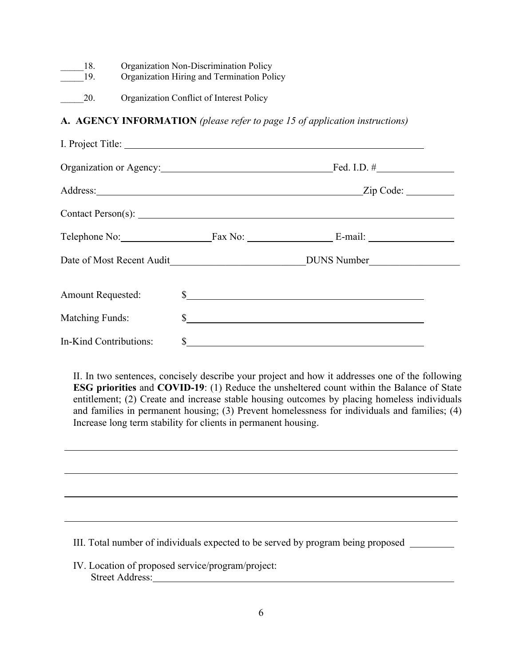| 18. | Organization Non-Discrimination Policy |
|-----|----------------------------------------|
|-----|----------------------------------------|

19. Organization Hiring and Termination Policy

20. Organization Conflict of Interest Policy

## **A. AGENCY INFORMATION** *(please refer to page 15 of application instructions)*

| I. Project Title:        |               |                                       |
|--------------------------|---------------|---------------------------------------|
|                          |               | Fed. I.D. $\#$                        |
|                          |               |                                       |
|                          |               |                                       |
|                          |               | Telephone No: Fax No: Fax No: E-mail: |
|                          |               |                                       |
| <b>Amount Requested:</b> |               |                                       |
| <b>Matching Funds:</b>   |               | $\sim$                                |
| In-Kind Contributions:   | $\frac{1}{2}$ |                                       |

II. In two sentences, concisely describe your project and how it addresses one of the following **ESG priorities** and **COVID-19**: (1) Reduce the unsheltered count within the Balance of State entitlement; (2) Create and increase stable housing outcomes by placing homeless individuals and families in permanent housing; (3) Prevent homelessness for individuals and families; (4) Increase long term stability for clients in permanent housing.

III. Total number of individuals expected to be served by program being proposed

IV. Location of proposed service/program/project: Street Address: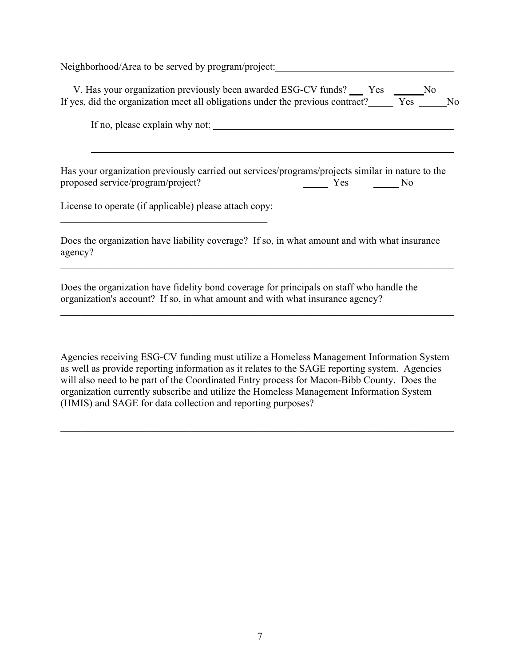Neighborhood/Area to be served by program/project:

V. Has your organization previously been awarded ESG-CV funds? Yes No If yes, did the organization meet all obligations under the previous contract? Yes No

If no, please explain why not:

Has your organization previously carried out services/programs/projects similar in nature to the proposed service/program/project? Yes No

License to operate (if applicable) please attach copy:  $\_$  . The contribution of the contribution of  $\mathcal{L}_\mathcal{L}$ 

Does the organization have liability coverage? If so, in what amount and with what insurance agency?

Does the organization have fidelity bond coverage for principals on staff who handle the organization's account? If so, in what amount and with what insurance agency?

Agencies receiving ESG-CV funding must utilize a Homeless Management Information System as well as provide reporting information as it relates to the SAGE reporting system. Agencies will also need to be part of the Coordinated Entry process for Macon-Bibb County. Does the organization currently subscribe and utilize the Homeless Management Information System (HMIS) and SAGE for data collection and reporting purposes?

 $\_$  , and the set of the set of the set of the set of the set of the set of the set of the set of the set of the set of the set of the set of the set of the set of the set of the set of the set of the set of the set of th

\_\_\_\_\_\_\_\_\_\_\_\_\_\_\_\_\_\_\_\_\_\_\_\_\_\_\_\_\_\_\_\_\_\_\_\_\_\_\_\_\_\_\_\_\_\_\_\_\_\_\_\_\_\_\_\_\_\_\_\_\_\_\_\_\_\_\_\_\_\_\_\_\_\_\_\_\_\_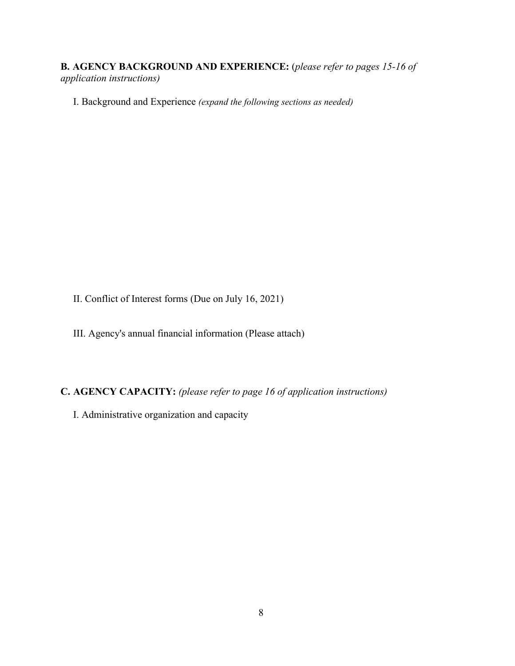**B. AGENCY BACKGROUND AND EXPERIENCE:** (*please refer to pages 15-16 of application instructions)*

I. Background and Experience *(expand the following sections as needed)*

II. Conflict of Interest forms (Due on July 16, 2021)

III. Agency's annual financial information (Please attach)

**C. AGENCY CAPACITY:** *(please refer to page 16 of application instructions)*

I. Administrative organization and capacity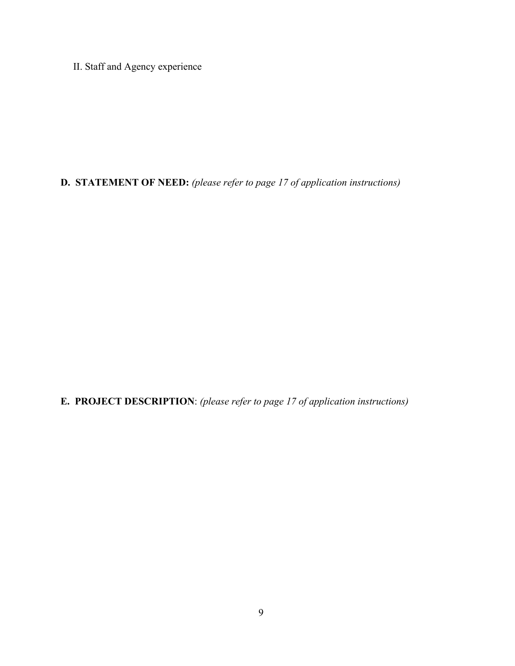II. Staff and Agency experience

**D. STATEMENT OF NEED:** *(please refer to page 17 of application instructions)*

**E. PROJECT DESCRIPTION**: *(please refer to page 17 of application instructions)*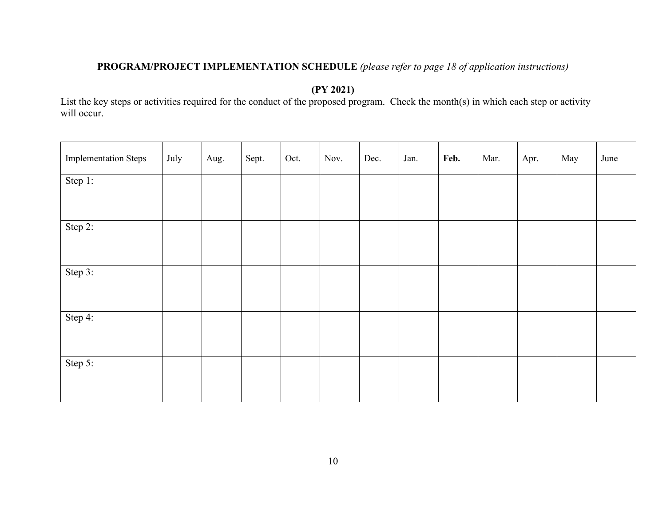## **PROGRAM/PROJECT IMPLEMENTATION SCHEDULE** *(please refer to page 18 of application instructions)*

**(PY 2021)** 

List the key steps or activities required for the conduct of the proposed program. Check the month(s) in which each step or activity will occur.

| <b>Implementation Steps</b> | July | Aug. | Sept. | Oct. | Nov. | Dec. | Jan. | Feb. | Mar. | Apr. | May | June |
|-----------------------------|------|------|-------|------|------|------|------|------|------|------|-----|------|
| Step 1:                     |      |      |       |      |      |      |      |      |      |      |     |      |
| Step 2:                     |      |      |       |      |      |      |      |      |      |      |     |      |
| Step 3:                     |      |      |       |      |      |      |      |      |      |      |     |      |
| Step 4:                     |      |      |       |      |      |      |      |      |      |      |     |      |
| Step 5:                     |      |      |       |      |      |      |      |      |      |      |     |      |
|                             |      |      |       |      |      |      |      |      |      |      |     |      |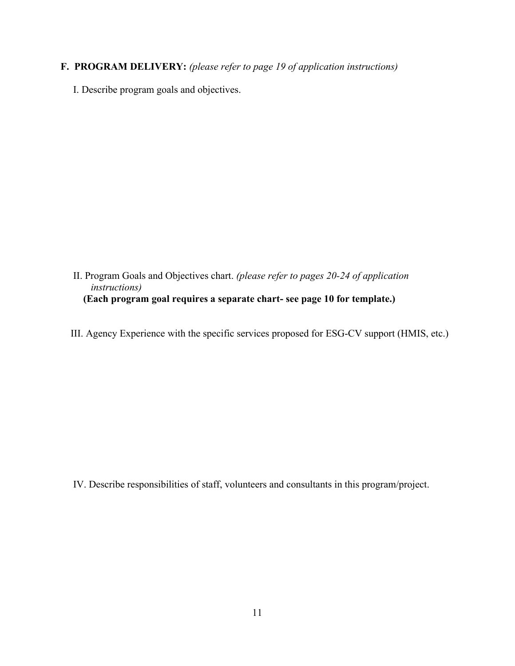- **F. PROGRAM DELIVERY:** *(please refer to page 19 of application instructions)*
	- I. Describe program goals and objectives.

- II. Program Goals and Objectives chart. *(please refer to pages 20-24 of application instructions)*   **(Each program goal requires a separate chart- see page 10 for template.)**
- III. Agency Experience with the specific services proposed for ESG-CV support (HMIS, etc.)

IV. Describe responsibilities of staff, volunteers and consultants in this program/project.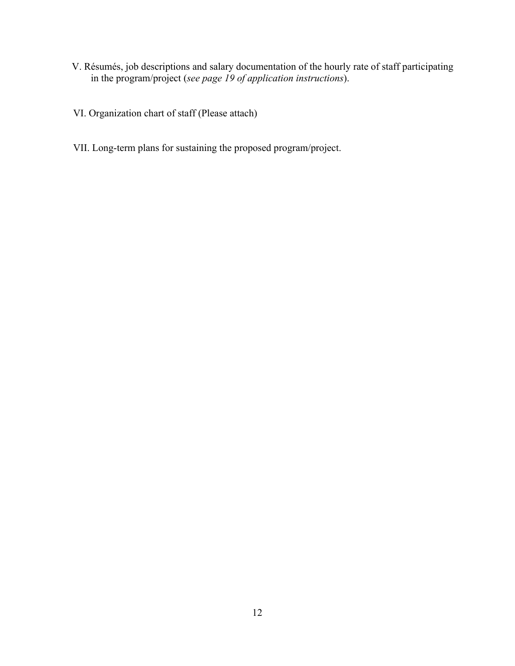- V. Résumés, job descriptions and salary documentation of the hourly rate of staff participating in the program/project (*see page 19 of application instructions*).
- VI. Organization chart of staff (Please attach)
- VII. Long-term plans for sustaining the proposed program/project.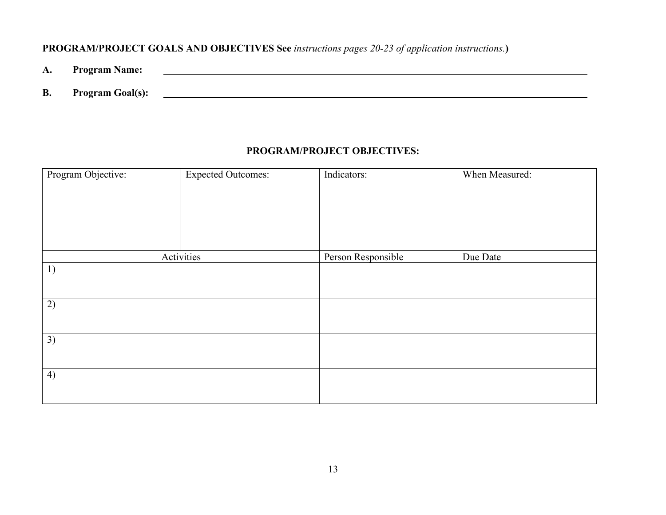## **PROGRAM/PROJECT GOALS AND OBJECTIVES See** *instructions pages 20-23 of application instructions.***)**

- **A. Program Name:**
- **B. Program Goal(s):**

### **PROGRAM/PROJECT OBJECTIVES:**

| Program Objective: | <b>Expected Outcomes:</b> | Indicators:        | When Measured: |
|--------------------|---------------------------|--------------------|----------------|
|                    |                           |                    |                |
|                    | Activities                | Person Responsible | Due Date       |
| 1)                 |                           |                    |                |
| 2)                 |                           |                    |                |
| 3)                 |                           |                    |                |
| 4)                 |                           |                    |                |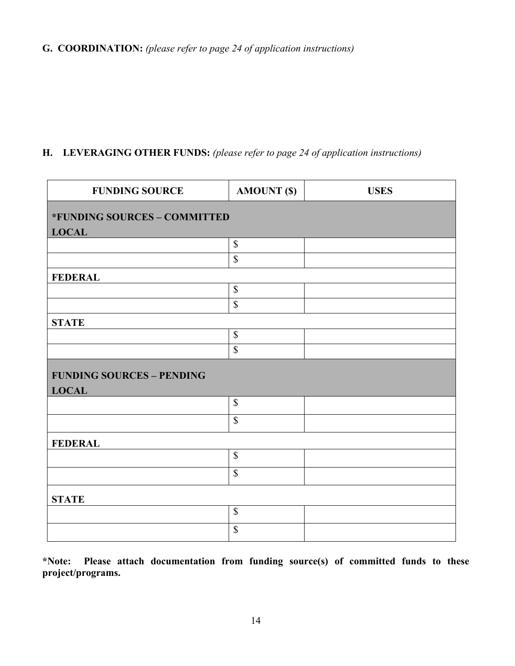# **H. LEVERAGING OTHER FUNDS:** *(please refer to page 24 of application instructions)*

| <b>FUNDING SOURCE</b>                            | <b>AMOUNT (\$)</b>        | <b>USES</b> |  |  |  |
|--------------------------------------------------|---------------------------|-------------|--|--|--|
| *FUNDING SOURCES - COMMITTED<br><b>LOCAL</b>     |                           |             |  |  |  |
|                                                  | $\mathbb{S}$              |             |  |  |  |
|                                                  | $\mathbb{S}$              |             |  |  |  |
| <b>FEDERAL</b>                                   |                           |             |  |  |  |
|                                                  | $\overline{\mathcal{S}}$  |             |  |  |  |
|                                                  | $\overline{\mathcal{S}}$  |             |  |  |  |
| <b>STATE</b>                                     |                           |             |  |  |  |
|                                                  | $\mathbb{S}$              |             |  |  |  |
|                                                  | $\boldsymbol{\mathsf{S}}$ |             |  |  |  |
| <b>FUNDING SOURCES - PENDING</b><br><b>LOCAL</b> |                           |             |  |  |  |
|                                                  | $\mathbb{S}$              |             |  |  |  |
|                                                  | $\mathbb{S}$              |             |  |  |  |
| <b>FEDERAL</b>                                   |                           |             |  |  |  |
|                                                  | $\mathcal{S}$             |             |  |  |  |
|                                                  | $\mathbb{S}$              |             |  |  |  |
| <b>STATE</b>                                     |                           |             |  |  |  |
|                                                  | $\mathbb S$               |             |  |  |  |
|                                                  | $\boldsymbol{\mathsf{S}}$ |             |  |  |  |

**\*Note: Please attach documentation from funding source(s) of committed funds to these project/programs.**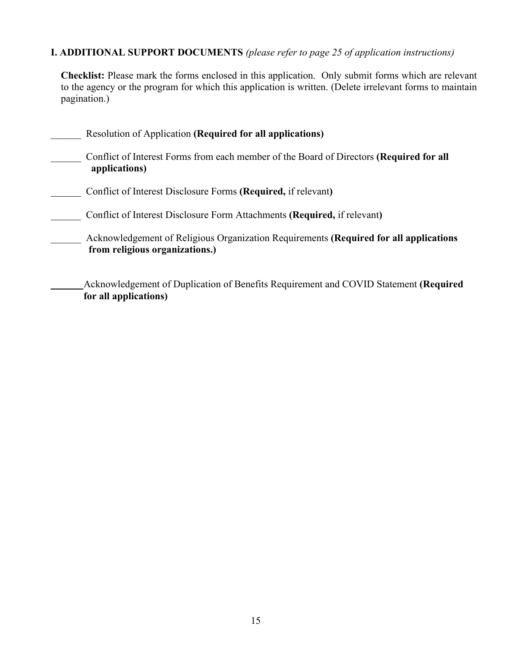## **I. ADDITIONAL SUPPORT DOCUMENTS** *(please refer to page 25 of application instructions)*

**Checklist:** Please mark the forms enclosed in this application. Only submit forms which are relevant to the agency or the program for which this application is written. (Delete irrelevant forms to maintain pagination.)

| Resolution of Application (Required for all applications)                                                               |
|-------------------------------------------------------------------------------------------------------------------------|
| Conflict of Interest Forms from each member of the Board of Directors (Required for all<br>applications)                |
| Conflict of Interest Disclosure Forms (Required, if relevant)                                                           |
| Conflict of Interest Disclosure Form Attachments (Required, if relevant)                                                |
| Acknowledgement of Religious Organization Requirements (Required for all applications<br>from religious organizations.) |
| Acknowledgement of Duplication of Benefits Requirement and COVID Statement (Required                                    |

**for all applications)**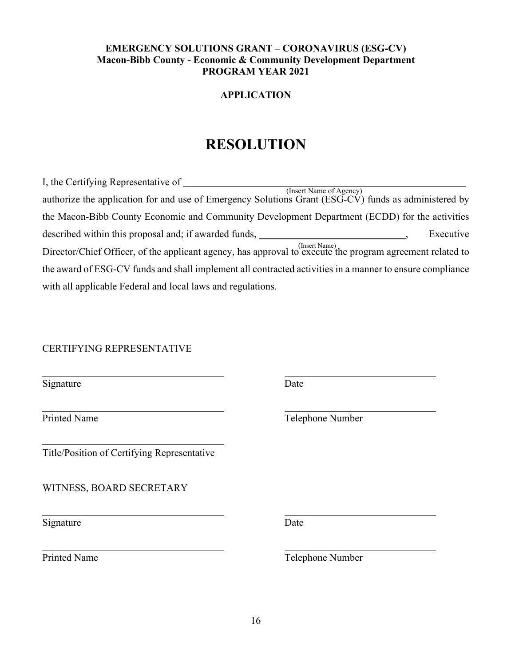## **EMERGENCY SOLUTIONS GRANT – CORONAVIRUS (ESG-CV) Macon-Bibb County - Economic & Community Development Department PROGRAM YEAR 2021**

## **APPLICATION**

# **RESOLUTION**

| I, the Certifying Representative of                                                                                             |
|---------------------------------------------------------------------------------------------------------------------------------|
| (Insert Name of Agency)<br>authorize the application for and use of Emergency Solutions Grant (ESG-CV) funds as administered by |
| the Macon-Bibb County Economic and Community Development Department (ECDD) for the activities                                   |
|                                                                                                                                 |
| described within this proposal and; if awarded funds,<br>Executive                                                              |
| Director/Chief Officer, of the applicant agency, has approval to execute the program agreement related to                       |
| the award of ESG-CV funds and shall implement all contracted activities in a manner to ensure compliance                        |
| with all applicable Federal and local laws and regulations.                                                                     |

## CERTIFYING REPRESENTATIVE

| Signature                                   | Date             |
|---------------------------------------------|------------------|
| <b>Printed Name</b>                         | Telephone Number |
| Title/Position of Certifying Representative |                  |
| WITNESS, BOARD SECRETARY                    |                  |
| Signature                                   | Date             |
| <b>Printed Name</b>                         | Telephone Number |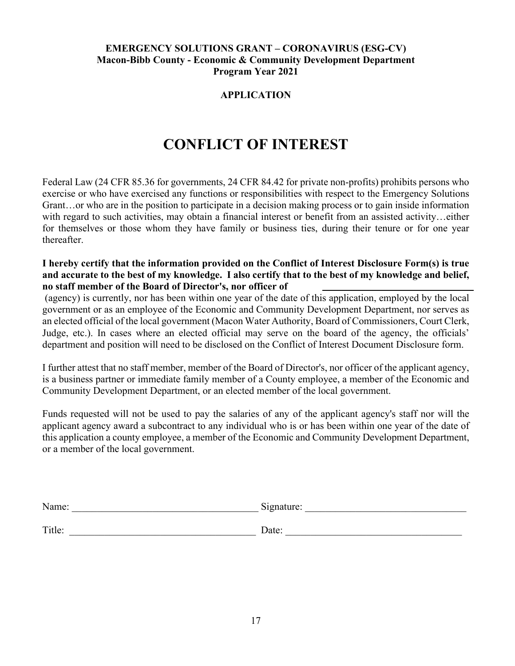### **EMERGENCY SOLUTIONS GRANT – CORONAVIRUS (ESG-CV) Macon-Bibb County - Economic & Community Development Department Program Year 2021**

## **APPLICATION**

# **CONFLICT OF INTEREST**

Federal Law (24 CFR 85.36 for governments, 24 CFR 84.42 for private non-profits) prohibits persons who exercise or who have exercised any functions or responsibilities with respect to the Emergency Solutions Grant…or who are in the position to participate in a decision making process or to gain inside information with regard to such activities, may obtain a financial interest or benefit from an assisted activity...either for themselves or those whom they have family or business ties, during their tenure or for one year thereafter.

#### **I hereby certify that the information provided on the Conflict of Interest Disclosure Form(s) is true and accurate to the best of my knowledge. I also certify that to the best of my knowledge and belief, no staff member of the Board of Director's, nor officer of**

(agency) is currently, nor has been within one year of the date of this application, employed by the local government or as an employee of the Economic and Community Development Department, nor serves as an elected official of the local government (Macon Water Authority, Board of Commissioners, Court Clerk, Judge, etc.). In cases where an elected official may serve on the board of the agency, the officials' department and position will need to be disclosed on the Conflict of Interest Document Disclosure form.

I further attest that no staff member, member of the Board of Director's, nor officer of the applicant agency, is a business partner or immediate family member of a County employee, a member of the Economic and Community Development Department, or an elected member of the local government.

Funds requested will not be used to pay the salaries of any of the applicant agency's staff nor will the applicant agency award a subcontract to any individual who is or has been within one year of the date of this application a county employee, a member of the Economic and Community Development Department, or a member of the local government.

| Name:  | Signature: |
|--------|------------|
| Title: | Date:      |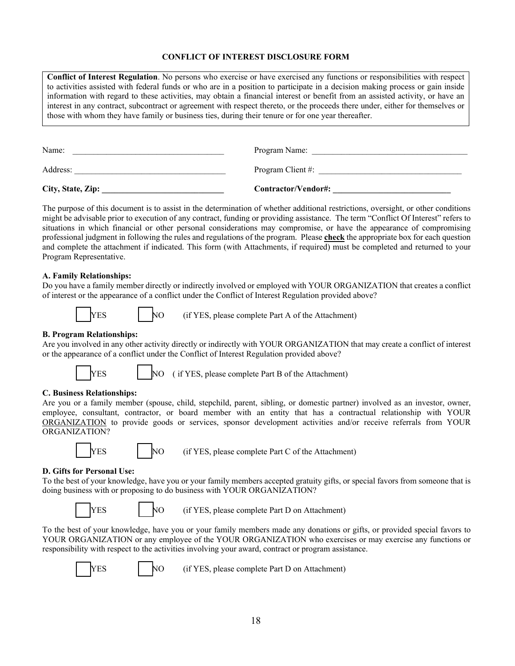#### **CONFLICT OF INTEREST DISCLOSURE FORM**

**Conflict of Interest Regulation**. No persons who exercise or have exercised any functions or responsibilities with respect to activities assisted with federal funds or who are in a position to participate in a decision making process or gain inside information with regard to these activities, may obtain a financial interest or benefit from an assisted activity, or have an interest in any contract, subcontract or agreement with respect thereto, or the proceeds there under, either for themselves or those with whom they have family or business ties, during their tenure or for one year thereafter.

| City, State, Zip: | Contractor/Vendor#: |
|-------------------|---------------------|
| Address:          | Program Client #:   |
| Name:             | Program Name:       |

The purpose of this document is to assist in the determination of whether additional restrictions, oversight, or other conditions might be advisable prior to execution of any contract, funding or providing assistance. The term "Conflict Of Interest" refers to situations in which financial or other personal considerations may compromise, or have the appearance of compromising professional judgment in following the rules and regulations of the program. Please **check** the appropriate box for each question and complete the attachment if indicated. This form (with Attachments, if required) must be completed and returned to your Program Representative.

#### **A. Family Relationships:**

Do you have a family member directly or indirectly involved or employed with YOUR ORGANIZATION that creates a conflict of interest or the appearance of a conflict under the Conflict of Interest Regulation provided above?



YES NO (if YES, please complete Part A of the Attachment)

#### **B. Program Relationships:**

Are you involved in any other activity directly or indirectly with YOUR ORGANIZATION that may create a conflict of interest or the appearance of a conflict under the Conflict of Interest Regulation provided above?



YES NO ( if YES, please complete Part B of the Attachment)

#### **C. Business Relationships:**

Are you or a family member (spouse, child, stepchild, parent, sibling, or domestic partner) involved as an investor, owner, employee, consultant, contractor, or board member with an entity that has a contractual relationship with YOUR ORGANIZATION to provide goods or services, sponsor development activities and/or receive referrals from YOUR ORGANIZATION?



YES NO (if YES, please complete Part C of the Attachment)

#### **D. Gifts for Personal Use:**

To the best of your knowledge, have you or your family members accepted gratuity gifts, or special favors from someone that is doing business with or proposing to do business with YOUR ORGANIZATION?

|--|--|

NO (if YES, please complete Part D on Attachment)

To the best of your knowledge, have you or your family members made any donations or gifts, or provided special favors to YOUR ORGANIZATION or any employee of the YOUR ORGANIZATION who exercises or may exercise any functions or responsibility with respect to the activities involving your award, contract or program assistance.

YES NO (if YES, please complete Part D on Attachment)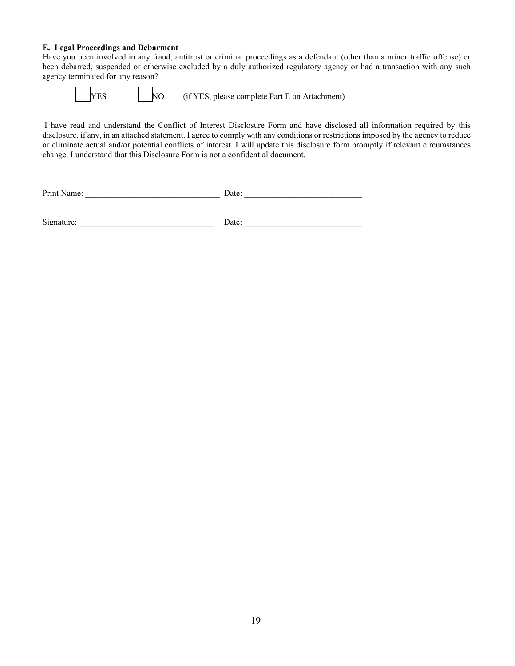#### **E. Legal Proceedings and Debarment**

Have you been involved in any fraud, antitrust or criminal proceedings as a defendant (other than a minor traffic offense) or been debarred, suspended or otherwise excluded by a duly authorized regulatory agency or had a transaction with any such agency terminated for any reason?

NO (if YES, please complete Part E on Attachment)

I have read and understand the Conflict of Interest Disclosure Form and have disclosed all information required by this disclosure, if any, in an attached statement. I agree to comply with any conditions or restrictions imposed by the agency to reduce or eliminate actual and/or potential conflicts of interest. I will update this disclosure form promptly if relevant circumstances change. I understand that this Disclosure Form is not a confidential document.

| Pri<br>. |  |  |
|----------|--|--|
|          |  |  |

 $Signature:$   $\qquad \qquad$  Date:  $\qquad \qquad$  Date: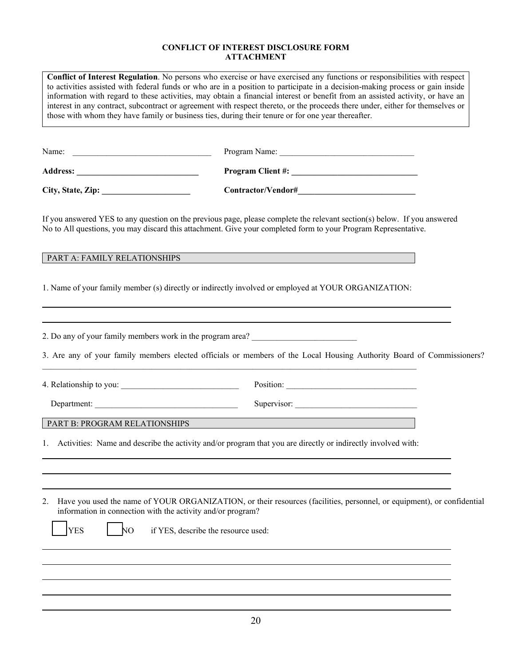#### **CONFLICT OF INTEREST DISCLOSURE FORM ATTACHMENT**

| Name:             | Program Name:                                                                                                                                                                                                                              |
|-------------------|--------------------------------------------------------------------------------------------------------------------------------------------------------------------------------------------------------------------------------------------|
| <b>Address:</b>   | <b>Program Client #:</b>                                                                                                                                                                                                                   |
| City, State, Zip: | Contractor/Vendor#                                                                                                                                                                                                                         |
|                   | If you answered YES to any question on the previous page, please complete the relevant section(s) below. If you answered<br>No to All questions, you may discard this attachment. Give your completed form to your Program Representative. |

1. Name of your family member (s) directly or indirectly involved or employed at YOUR ORGANIZATION:

2. Do any of your family members work in the program area? \_\_\_\_\_\_\_\_\_\_\_\_\_\_\_\_\_\_\_\_\_\_

3. Are any of your family members elected officials or members of the Local Housing Authority Board of Commissioners?

4. Relationship to you: example of the set of the set of the set of the set of the set of the set of the set of the set of the set of the set of the set of the set of the set of the set of the set of the set of the set of

Department: \_\_\_\_\_\_\_\_\_\_\_\_\_\_\_\_\_\_\_\_\_\_\_\_\_\_\_\_\_\_\_\_\_\_ Supervisor: \_\_\_\_\_\_\_\_\_\_\_\_\_\_\_\_\_\_\_\_\_\_\_\_\_\_\_\_\_

### PART B: PROGRAM RELATIONSHIPS

1. Activities: Name and describe the activity and/or program that you are directly or indirectly involved with:

\_\_\_\_\_\_\_\_\_\_\_\_\_\_\_\_\_\_\_\_\_\_\_\_\_\_\_\_\_\_\_\_\_\_\_\_\_\_\_\_\_\_\_\_\_\_\_\_\_\_\_\_\_\_\_\_\_\_\_\_\_\_\_\_\_\_\_\_\_\_\_\_\_\_\_\_\_\_\_\_\_\_\_\_\_\_\_\_\_

| 2. Have you used the name of YOUR ORGANIZATION, or their resources (facilities, personnel, or equipment), or confidential |
|---------------------------------------------------------------------------------------------------------------------------|
| information in connection with the activity and/or program?                                                               |

YES NO if YES, describe the resource used: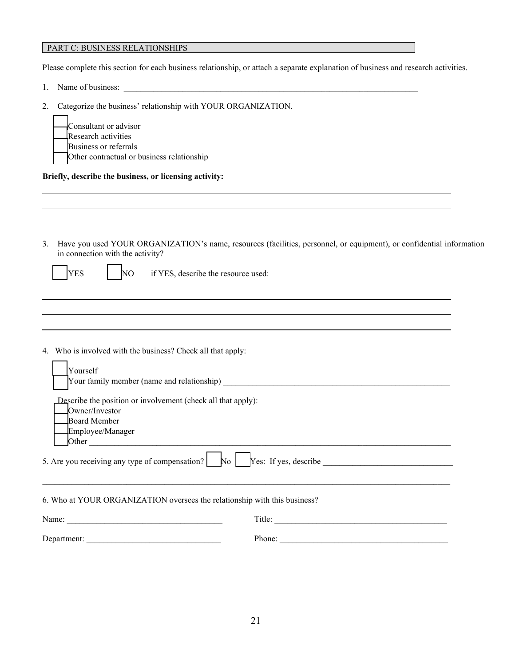#### PART C: BUSINESS RELATIONSHIPS

Please complete this section for each business relationship, or attach a separate explanation of business and research activities.

- 1. Name of business: \_\_\_\_\_\_\_\_\_\_\_\_\_\_\_\_\_\_\_\_\_\_\_\_\_\_\_\_\_\_\_\_\_\_\_\_\_\_\_\_\_\_\_\_\_\_\_\_\_\_\_\_\_\_\_\_\_\_\_\_\_\_\_\_\_\_\_\_\_\_
- 2. Categorize the business' relationship with YOUR ORGANIZATION.

| Consultant or advisor                      |
|--------------------------------------------|
|                                            |
| Research activities                        |
| Business or referrals                      |
| Other contractual or business relationship |

**Briefly, describe the business, or licensing activity:**

3. Have you used YOUR ORGANIZATION's name, resources (facilities, personnel, or equipment), or confidential information in connection with the activity?

YES NO if YES, describe the resource used:

4. Who is involved with the business? Check all that apply:

| Yourself                                                                                                                                                                                                                                                                                                   |        |  |  |  |  |
|------------------------------------------------------------------------------------------------------------------------------------------------------------------------------------------------------------------------------------------------------------------------------------------------------------|--------|--|--|--|--|
| Describe the position or involvement (check all that apply):<br>Owner/Investor<br>Board Member<br>Employee/Manager<br>Other<br>5. Are you receiving any type of compensation? $\begin{array}{ c c c c c c } \hline \end{array}$ No $\begin{array}{ c c c c c c } \hline \end{array}$ Yes: If yes, describe |        |  |  |  |  |
|                                                                                                                                                                                                                                                                                                            |        |  |  |  |  |
| 6. Who at YOUR ORGANIZATION oversees the relationship with this business?                                                                                                                                                                                                                                  |        |  |  |  |  |
| Title:                                                                                                                                                                                                                                                                                                     |        |  |  |  |  |
| Department:                                                                                                                                                                                                                                                                                                | Phone: |  |  |  |  |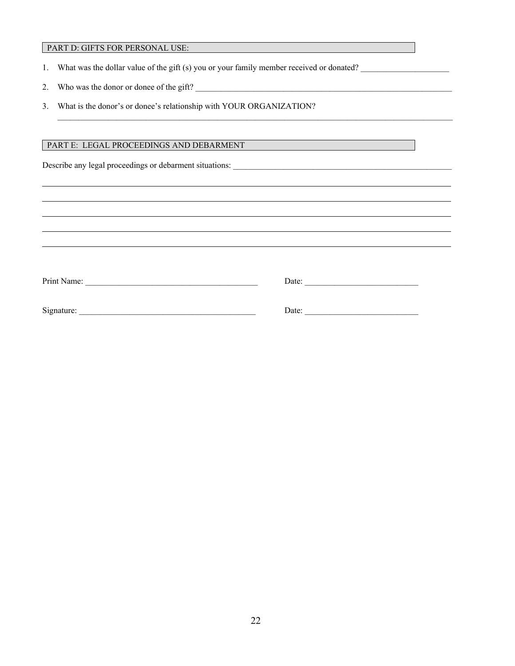#### PART D: GIFTS FOR PERSONAL USE:

- 1. What was the dollar value of the gift (s) you or your family member received or donated?
- 2. Who was the donor or donee of the gift?
- 3. What is the donor's or donee's relationship with YOUR ORGANIZATION?

#### PART E: LEGAL PROCEEDINGS AND DEBARMENT

Describe any legal proceedings or debarment situations:

| Print Name: | Date: |  |
|-------------|-------|--|
|             |       |  |
| Signature:  | Date: |  |
|             |       |  |

 $\mathcal{L}_\mathcal{L} = \mathcal{L}_\mathcal{L} = \mathcal{L}_\mathcal{L} = \mathcal{L}_\mathcal{L} = \mathcal{L}_\mathcal{L} = \mathcal{L}_\mathcal{L} = \mathcal{L}_\mathcal{L} = \mathcal{L}_\mathcal{L} = \mathcal{L}_\mathcal{L} = \mathcal{L}_\mathcal{L} = \mathcal{L}_\mathcal{L} = \mathcal{L}_\mathcal{L} = \mathcal{L}_\mathcal{L} = \mathcal{L}_\mathcal{L} = \mathcal{L}_\mathcal{L} = \mathcal{L}_\mathcal{L} = \mathcal{L}_\mathcal{L}$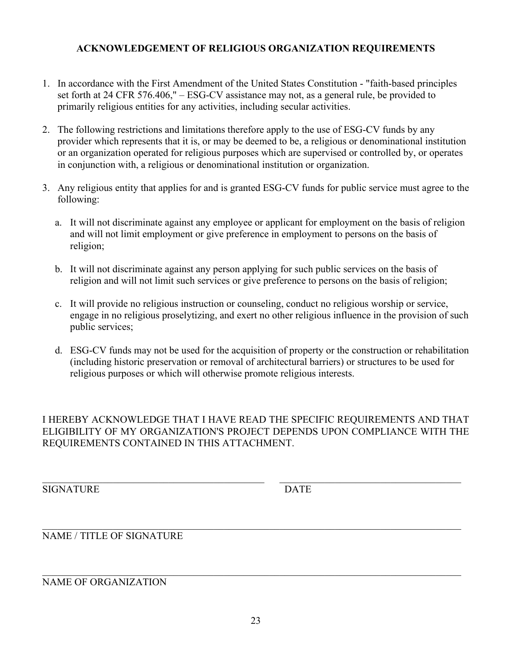## **ACKNOWLEDGEMENT OF RELIGIOUS ORGANIZATION REQUIREMENTS**

- 1. In accordance with the First Amendment of the United States Constitution "faith-based principles set forth at 24 CFR 576.406," – ESG-CV assistance may not, as a general rule, be provided to primarily religious entities for any activities, including secular activities.
- 2. The following restrictions and limitations therefore apply to the use of ESG-CV funds by any provider which represents that it is, or may be deemed to be, a religious or denominational institution or an organization operated for religious purposes which are supervised or controlled by, or operates in conjunction with, a religious or denominational institution or organization.
- 3. Any religious entity that applies for and is granted ESG-CV funds for public service must agree to the following:
	- a. It will not discriminate against any employee or applicant for employment on the basis of religion and will not limit employment or give preference in employment to persons on the basis of religion;
	- b. It will not discriminate against any person applying for such public services on the basis of religion and will not limit such services or give preference to persons on the basis of religion;
	- c. It will provide no religious instruction or counseling, conduct no religious worship or service, engage in no religious proselytizing, and exert no other religious influence in the provision of such public services;
	- d. ESG-CV funds may not be used for the acquisition of property or the construction or rehabilitation (including historic preservation or removal of architectural barriers) or structures to be used for religious purposes or which will otherwise promote religious interests.

I HEREBY ACKNOWLEDGE THAT I HAVE READ THE SPECIFIC REQUIREMENTS AND THAT ELIGIBILITY OF MY ORGANIZATION'S PROJECT DEPENDS UPON COMPLIANCE WITH THE REQUIREMENTS CONTAINED IN THIS ATTACHMENT.

\_\_\_\_\_\_\_\_\_\_\_\_\_\_\_\_\_\_\_\_\_\_\_\_\_\_\_\_\_\_\_\_\_\_\_\_\_\_\_\_\_\_\_\_ \_\_\_\_\_\_\_\_\_\_\_\_\_\_\_\_\_\_\_\_\_\_\_\_\_\_\_\_\_\_\_\_\_\_\_\_

SIGNATURE DATE

#### \_\_\_\_\_\_\_\_\_\_\_\_\_\_\_\_\_\_\_\_\_\_\_\_\_\_\_\_\_\_\_\_\_\_\_\_\_\_\_\_\_\_\_\_\_\_\_\_\_\_\_\_\_\_\_\_\_\_\_\_\_\_\_\_\_\_\_\_\_\_\_\_\_\_\_\_\_\_\_\_\_\_\_ NAME / TITLE OF SIGNATURE

\_\_\_\_\_\_\_\_\_\_\_\_\_\_\_\_\_\_\_\_\_\_\_\_\_\_\_\_\_\_\_\_\_\_\_\_\_\_\_\_\_\_\_\_\_\_\_\_\_\_\_\_\_\_\_\_\_\_\_\_\_\_\_\_\_\_\_\_\_\_\_\_\_\_\_\_\_\_\_\_\_\_\_ NAME OF ORGANIZATION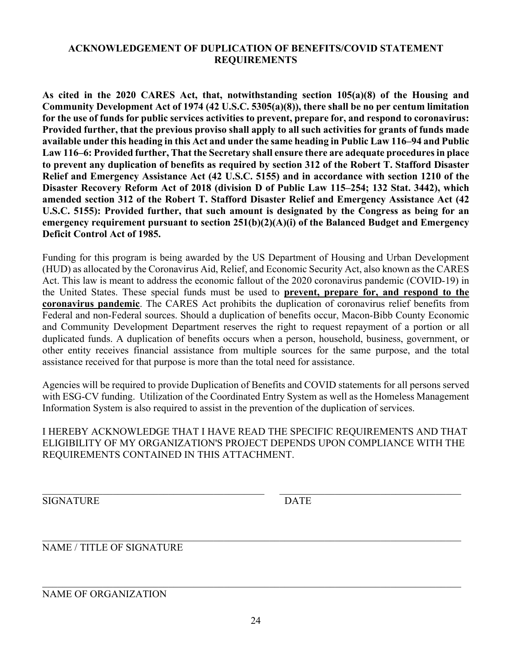## **ACKNOWLEDGEMENT OF DUPLICATION OF BENEFITS/COVID STATEMENT REQUIREMENTS**

**As cited in the 2020 CARES Act, that, notwithstanding section 105(a)(8) of the Housing and Community Development Act of 1974 (42 U.S.C. 5305(a)(8)), there shall be no per centum limitation for the use of funds for public services activities to prevent, prepare for, and respond to coronavirus: Provided further, that the previous proviso shall apply to all such activities for grants of funds made available under this heading in this Act and under the same heading in Public Law 116–94 and Public Law 116–6: Provided further, That the Secretary shall ensure there are adequate procedures in place to prevent any duplication of benefits as required by section 312 of the Robert T. Stafford Disaster Relief and Emergency Assistance Act (42 U.S.C. 5155) and in accordance with section 1210 of the Disaster Recovery Reform Act of 2018 (division D of Public Law 115–254; 132 Stat. 3442), which amended section 312 of the Robert T. Stafford Disaster Relief and Emergency Assistance Act (42 U.S.C. 5155): Provided further, that such amount is designated by the Congress as being for an emergency requirement pursuant to section 251(b)(2)(A)(i) of the Balanced Budget and Emergency Deficit Control Act of 1985.**

Funding for this program is being awarded by the US Department of Housing and Urban Development (HUD) as allocated by the Coronavirus Aid, Relief, and Economic Security Act, also known as the CARES Act. This law is meant to address the economic fallout of the 2020 coronavirus pandemic (COVID-19) in the United States. These special funds must be used to **prevent, prepare for, and respond to the coronavirus pandemic**. The CARES Act prohibits the duplication of coronavirus relief benefits from Federal and non-Federal sources. Should a duplication of benefits occur, Macon-Bibb County Economic and Community Development Department reserves the right to request repayment of a portion or all duplicated funds. A duplication of benefits occurs when a person, household, business, government, or other entity receives financial assistance from multiple sources for the same purpose, and the total assistance received for that purpose is more than the total need for assistance.

Agencies will be required to provide Duplication of Benefits and COVID statements for all persons served with ESG-CV funding. Utilization of the Coordinated Entry System as well as the Homeless Management Information System is also required to assist in the prevention of the duplication of services.

I HEREBY ACKNOWLEDGE THAT I HAVE READ THE SPECIFIC REQUIREMENTS AND THAT ELIGIBILITY OF MY ORGANIZATION'S PROJECT DEPENDS UPON COMPLIANCE WITH THE REQUIREMENTS CONTAINED IN THIS ATTACHMENT.

 $\_$  , and the contribution of the contribution of  $\mathcal{L}_\mathcal{A}$  , and the contribution of  $\mathcal{L}_\mathcal{A}$ 

SIGNATURE DATE

\_\_\_\_\_\_\_\_\_\_\_\_\_\_\_\_\_\_\_\_\_\_\_\_\_\_\_\_\_\_\_\_\_\_\_\_\_\_\_\_\_\_\_\_\_\_\_\_\_\_\_\_\_\_\_\_\_\_\_\_\_\_\_\_\_\_\_\_\_\_\_\_\_\_\_\_\_\_\_\_\_\_\_ NAME / TITLE OF SIGNATURE

NAME OF ORGANIZATION

\_\_\_\_\_\_\_\_\_\_\_\_\_\_\_\_\_\_\_\_\_\_\_\_\_\_\_\_\_\_\_\_\_\_\_\_\_\_\_\_\_\_\_\_\_\_\_\_\_\_\_\_\_\_\_\_\_\_\_\_\_\_\_\_\_\_\_\_\_\_\_\_\_\_\_\_\_\_\_\_\_\_\_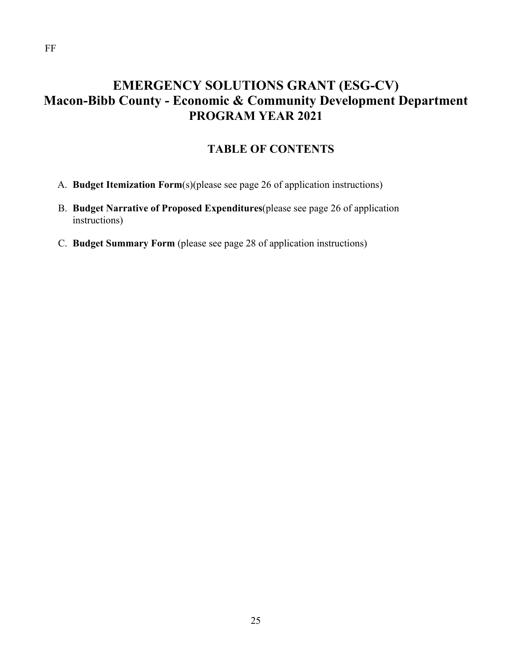# **EMERGENCY SOLUTIONS GRANT (ESG-CV) Macon-Bibb County - Economic & Community Development Department PROGRAM YEAR 2021**

# **TABLE OF CONTENTS**

- A. **Budget Itemization Form**(s)(please see page 26 of application instructions)
- B. **Budget Narrative of Proposed Expenditures**(please see page 26 of application instructions)
- C. **Budget Summary Form** (please see page 28 of application instructions)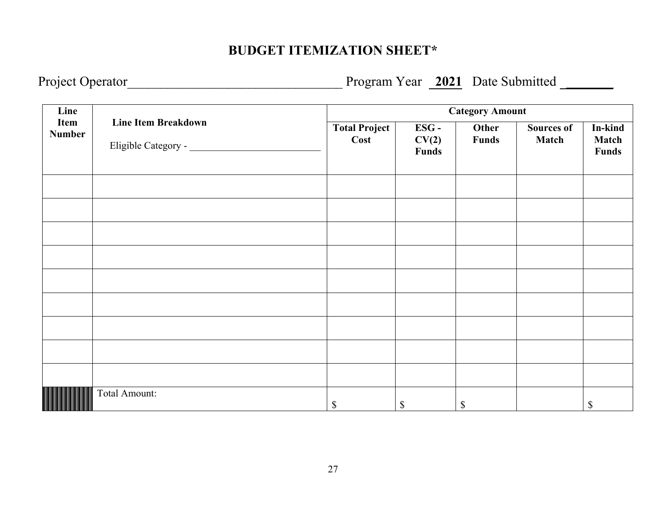# **BUDGET ITEMIZATION SHEET\***

Project Operator\_\_\_\_\_\_\_\_\_\_\_\_\_\_\_\_\_\_\_\_\_\_\_\_\_\_\_\_\_\_\_\_ Program Year **2021** Date Submitted **\_\_\_\_\_\_\_**

| Line                  |                            | <b>Category Amount</b>       |                        |                       |                            |                                  |
|-----------------------|----------------------------|------------------------------|------------------------|-----------------------|----------------------------|----------------------------------|
| Item<br><b>Number</b> | <b>Line Item Breakdown</b> | <b>Total Project</b><br>Cost | ESG-<br>CV(2)<br>Funds | Other<br><b>Funds</b> | <b>Sources of</b><br>Match | In-kind<br><b>Match</b><br>Funds |
|                       |                            |                              |                        |                       |                            |                                  |
|                       |                            |                              |                        |                       |                            |                                  |
|                       |                            |                              |                        |                       |                            |                                  |
|                       |                            |                              |                        |                       |                            |                                  |
|                       |                            |                              |                        |                       |                            |                                  |
|                       |                            |                              |                        |                       |                            |                                  |
|                       |                            |                              |                        |                       |                            |                                  |
|                       |                            |                              |                        |                       |                            |                                  |
|                       |                            |                              |                        |                       |                            |                                  |
|                       | Total Amount:              | $\boldsymbol{\mathsf{S}}$    | $\mathbb{S}$           | $\mathbb{S}$          |                            | \$                               |